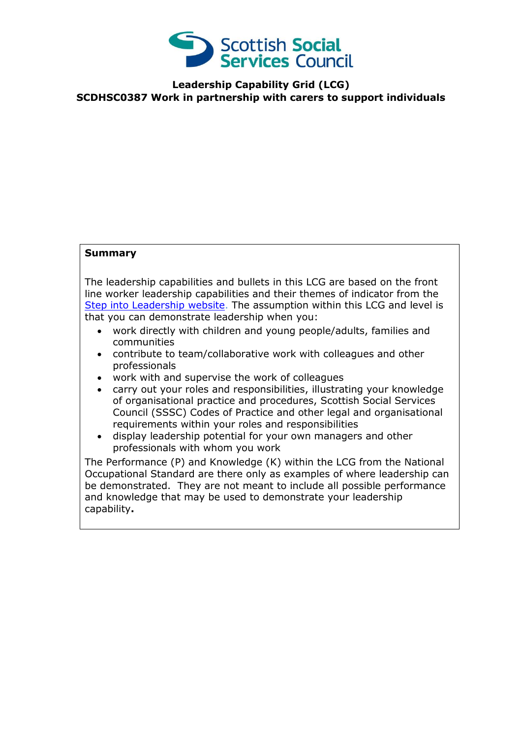

**Leadership Capability Grid (LCG) SCDHSC0387 Work in partnership with carers to support individuals**

## **Summary**

The leadership capabilities and bullets in this LCG are based on the front line worker leadership capabilities and their themes of indicator from the [Step into Leadership website.](http://www.stepintoleadership.info/) The assumption within this LCG and level is that you can demonstrate leadership when you:

- work directly with children and young people/adults, families and communities
- contribute to team/collaborative work with colleagues and other professionals
- work with and supervise the work of colleagues
- carry out your roles and responsibilities, illustrating your knowledge of organisational practice and procedures, Scottish Social Services Council (SSSC) Codes of Practice and other legal and organisational requirements within your roles and responsibilities
- display leadership potential for your own managers and other professionals with whom you work

The Performance (P) and Knowledge (K) within the LCG from the National Occupational Standard are there only as examples of where leadership can be demonstrated. They are not meant to include all possible performance and knowledge that may be used to demonstrate your leadership capability**.**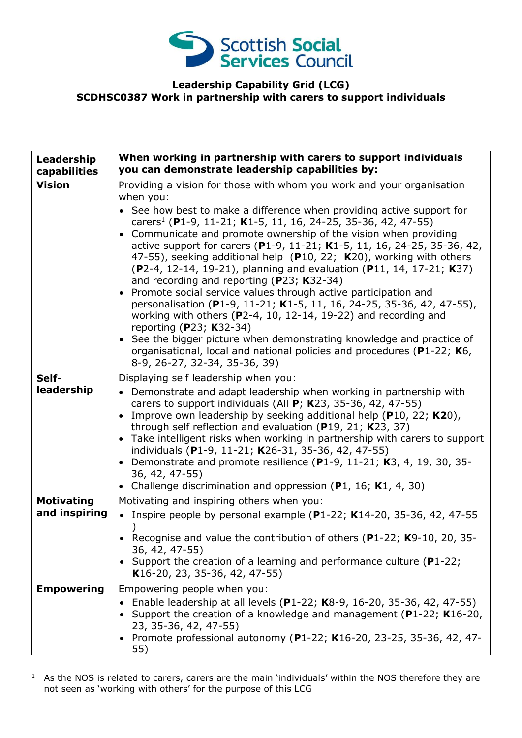

## **Leadership Capability Grid (LCG) SCDHSC0387 Work in partnership with carers to support individuals**

| Leadership<br>capabilities         | When working in partnership with carers to support individuals<br>you can demonstrate leadership capabilities by:                                                                                                                                                                                                                                                                                                                                                                                                                                                                                                                                                                                                                                                                                                                                                                                                                                                                                                 |
|------------------------------------|-------------------------------------------------------------------------------------------------------------------------------------------------------------------------------------------------------------------------------------------------------------------------------------------------------------------------------------------------------------------------------------------------------------------------------------------------------------------------------------------------------------------------------------------------------------------------------------------------------------------------------------------------------------------------------------------------------------------------------------------------------------------------------------------------------------------------------------------------------------------------------------------------------------------------------------------------------------------------------------------------------------------|
| <b>Vision</b>                      | Providing a vision for those with whom you work and your organisation<br>when you:<br>• See how best to make a difference when providing active support for<br>carers <sup>1</sup> (P1-9, 11-21; K1-5, 11, 16, 24-25, 35-36, 42, 47-55)<br>• Communicate and promote ownership of the vision when providing<br>active support for carers (P1-9, 11-21; K1-5, 11, 16, 24-25, 35-36, 42,<br>47-55), seeking additional help (P10, 22; K20), working with others<br>(P2-4, 12-14, 19-21), planning and evaluation (P11, 14, 17-21; K37)<br>and recording and reporting (P23; K32-34)<br>• Promote social service values through active participation and<br>personalisation (P1-9, 11-21; K1-5, 11, 16, 24-25, 35-36, 42, 47-55),<br>working with others ( $P2-4$ , 10, 12-14, 19-22) and recording and<br>reporting (P23; K32-34)<br>See the bigger picture when demonstrating knowledge and practice of<br>organisational, local and national policies and procedures (P1-22; K6,<br>8-9, 26-27, 32-34, 35-36, 39) |
| Self-<br>leadership                | Displaying self leadership when you:<br>• Demonstrate and adapt leadership when working in partnership with<br>carers to support individuals (All $P$ ; K23, 35-36, 42, 47-55)<br>• Improve own leadership by seeking additional help (P10, 22; K20),<br>through self reflection and evaluation ( $P19$ , 21; K23, 37)<br>• Take intelligent risks when working in partnership with carers to support<br>individuals (P1-9, 11-21; K26-31, 35-36, 42, 47-55)<br>• Demonstrate and promote resilience (P1-9, 11-21; K3, 4, 19, 30, 35-<br>36, 42, 47-55)<br>• Challenge discrimination and oppression (P1, 16; K1, 4, 30)                                                                                                                                                                                                                                                                                                                                                                                          |
| <b>Motivating</b><br>and inspiring | Motivating and inspiring others when you:<br>• Inspire people by personal example (P1-22; K14-20, 35-36, 42, 47-55<br>• Recognise and value the contribution of others (P1-22; K9-10, 20, 35-<br>36, 42, 47-55)<br>Support the creation of a learning and performance culture (P1-22;<br>K16-20, 23, 35-36, 42, 47-55)                                                                                                                                                                                                                                                                                                                                                                                                                                                                                                                                                                                                                                                                                            |
| <b>Empowering</b>                  | Empowering people when you:<br>Enable leadership at all levels (P1-22; K8-9, 16-20, 35-36, 42, 47-55)<br>Support the creation of a knowledge and management (P1-22; K16-20,<br>23, 35-36, 42, 47-55)<br>• Promote professional autonomy (P1-22; K16-20, 23-25, 35-36, 42, 47-<br>55)                                                                                                                                                                                                                                                                                                                                                                                                                                                                                                                                                                                                                                                                                                                              |

<sup>-</sup> $1$  As the NOS is related to carers, carers are the main 'individuals' within the NOS therefore they are not seen as 'working with others' for the purpose of this LCG